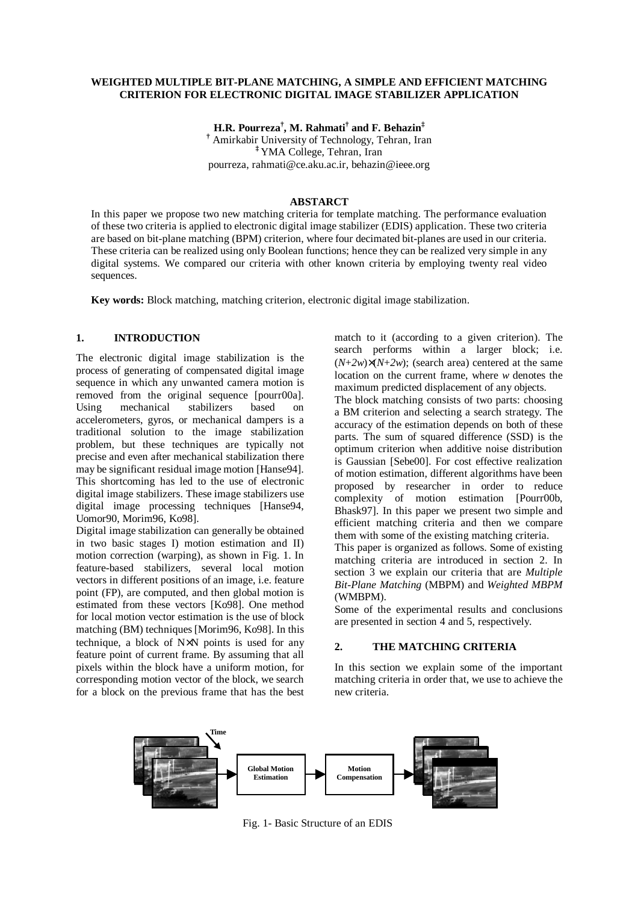### **WEIGHTED MULTIPLE BIT-PLANE MATCHING, A SIMPLE AND EFFICIENT MATCHING CRITERION FOR ELECTRONIC DIGITAL IMAGE STABILIZER APPLICATION**

**H.R. Pourreza† , M. Rahmati† and F. Behazin‡** 

**†** Amirkabir University of Technology, Tehran, Iran **‡** YMA College, Tehran, Iran pourreza, rahmati@ce.aku.ac.ir, behazin@ieee.org

#### **ABSTARCT**

In this paper we propose two new matching criteria for template matching. The performance evaluation of these two criteria is applied to electronic digital image stabilizer (EDIS) application. These two criteria are based on bit-plane matching (BPM) criterion, where four decimated bit-planes are used in our criteria. These criteria can be realized using only Boolean functions; hence they can be realized very simple in any digital systems. We compared our criteria with other known criteria by employing twenty real video sequences.

**Key words:** Block matching, matching criterion, electronic digital image stabilization.

# **1. INTRODUCTION**

The electronic digital image stabilization is the process of generating of compensated digital image sequence in which any unwanted camera motion is removed from the original sequence [pourr00a]. Using mechanical stabilizers based on accelerometers, gyros, or mechanical dampers is a traditional solution to the image stabilization problem, but these techniques are typically not precise and even after mechanical stabilization there may be significant residual image motion [Hanse94]. This shortcoming has led to the use of electronic digital image stabilizers. These image stabilizers use digital image processing techniques [Hanse94, Uomor90, Morim96, Ko98].

Digital image stabilization can generally be obtained in two basic stages I) motion estimation and II) motion correction (warping), as shown in Fig. 1. In feature-based stabilizers, several local motion vectors in different positions of an image, i.e. feature point (FP), are computed, and then global motion is estimated from these vectors [Ko98]. One method for local motion vector estimation is the use of block matching (BM) techniques [Morim96, Ko98]. In this technique, a block of N×N points is used for any feature point of current frame. By assuming that all pixels within the block have a uniform motion, for corresponding motion vector of the block, we search for a block on the previous frame that has the best match to it (according to a given criterion). The search performs within a larger block; i.e.  $(N+2w)\times(N+2w)$ ; (search area) centered at the same location on the current frame, where *w* denotes the maximum predicted displacement of any objects.

The block matching consists of two parts: choosing a BM criterion and selecting a search strategy. The accuracy of the estimation depends on both of these parts. The sum of squared difference (SSD) is the optimum criterion when additive noise distribution is Gaussian [Sebe00]. For cost effective realization of motion estimation, different algorithms have been proposed by researcher in order to reduce complexity of motion estimation [Pourr00b, Bhask97]. In this paper we present two simple and efficient matching criteria and then we compare them with some of the existing matching criteria.

This paper is organized as follows. Some of existing matching criteria are introduced in section 2. In section 3 we explain our criteria that are *Multiple Bit-Plane Matching* (MBPM) and *Weighted MBPM* (WMBPM).

Some of the experimental results and conclusions are presented in section 4 and 5, respectively.

#### **2. THE MATCHING CRITERIA**

In this section we explain some of the important matching criteria in order that, we use to achieve the new criteria.



Fig. 1- Basic Structure of an EDIS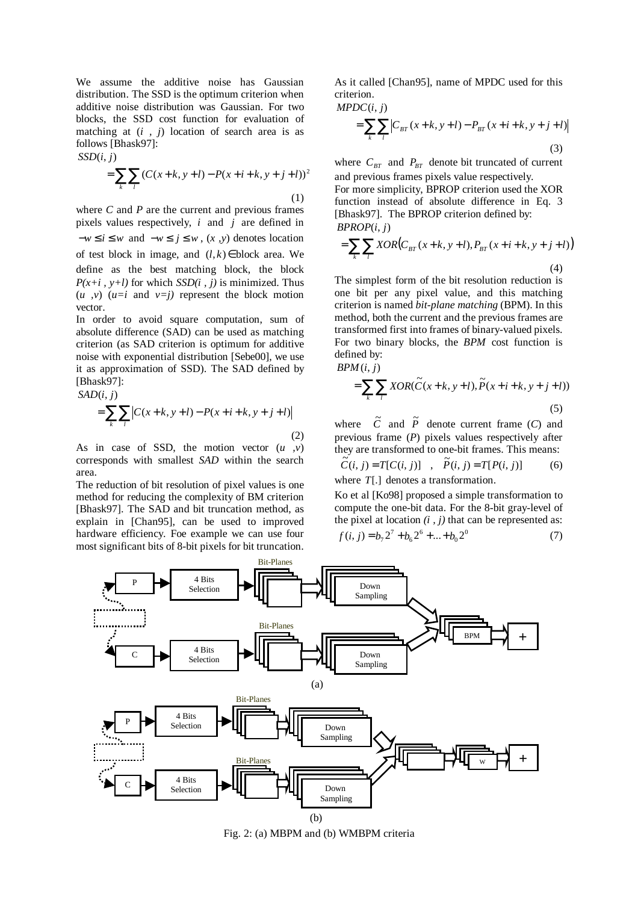We assume the additive noise has Gaussian distribution. The SSD is the optimum criterion when additive noise distribution was Gaussian. For two blocks, the SSD cost function for evaluation of matching at (*i , j*) location of search area is as follows [Bhask97]:

 $SSD(i, j)$ 

$$
= \sum_{k} \sum_{l} (C(x+k, y+l) - P(x+i+k, y+j+l))^{2}
$$
\n(1)

where *C* and *P* are the current and previous frames pixels values respectively, *i* and *j* are defined in  $-w \le i \le w$  and  $-w \le j \le w$ ,  $(x, y)$  denotes location of test block in image, and  $(l, k) \in$  block area. We define as the best matching block, the block  $P(x+i, y+l)$  for which *SSD(i, j)* is minimized. Thus  $(u, v)$   $(u=i$  and  $v=i$  represent the block motion vector.

In order to avoid square computation, sum of absolute difference (SAD) can be used as matching criterion (as SAD criterion is optimum for additive noise with exponential distribution [Sebe00], we use it as approximation of SSD). The SAD defined by [Bhask97]:

$$
SAD(i, j)
$$
  
= 
$$
\sum_{k} \sum_{l} |C(x+k, y+l) - P(x+i+k, y+j+l)|
$$
  
(2)

As in case of SSD, the motion vector (*u ,v*) corresponds with smallest *SAD* within the search area.

The reduction of bit resolution of pixel values is one method for reducing the complexity of BM criterion [Bhask97]. The SAD and bit truncation method, as explain in [Chan95], can be used to improved hardware efficiency. Foe example we can use four most significant bits of 8-bit pixels for bit truncation.

As it called [Chan95], name of MPDC used for this criterion.

 $MPDC(i, j)$ 

$$
= \sum_{k} \sum_{l} \left| C_{BT}(x+k, y+l) - P_{BT}(x+i+k, y+j+l) \right|
$$
\n(3)

where  $C_{BT}$  and  $P_{BT}$  denote bit truncated of current and previous frames pixels value respectively. For more simplicity, BPROP criterion used the XOR function instead of absolute difference in Eq. 3 [Bhask97]. The BPROP criterion defined by: *BPROP*(*i*, *j*)

$$
= \sum_{k} \sum_{l} XOR(C_{BT}(x+k, y+l), P_{BT}(x+i+k, y+j+l))
$$
\n(4)

The simplest form of the bit resolution reduction is one bit per any pixel value, and this matching criterion is named *bit-plane matching* (BPM). In this method, both the current and the previous frames are transformed first into frames of binary-valued pixels. For two binary blocks, the *BPM* cost function is defined by:

$$
BPM(i, j)
$$
  
= 
$$
\sum_{k} \sum_{l} XOR(\widetilde{C}(x+k, y+l), \widetilde{P}(x+i+k, y+j+l))
$$
  
(5)

where  $\tilde{C}$  and  $\tilde{P}$  denote current frame (*C*) and previous frame (*P*) pixels values respectively after they are transformed to one-bit frames. This means:

$$
\tilde{C}(i, j) = T[C(i, j)] \quad , \quad \tilde{P}(i, j) = T[P(i, j)] \tag{6}
$$
\nwhere  $T[.]$  denotes a transformation.

Ko et al [Ko98] proposed a simple transformation to compute the one-bit data. For the 8-bit gray-level of the pixel at location  $(i, j)$  that can be represented as:

$$
f(i, j) = b_7 2^7 + b_6 2^6 + \dots + b_0 2^0
$$
 (7)



Fig. 2: (a) MBPM and (b) WMBPM criteria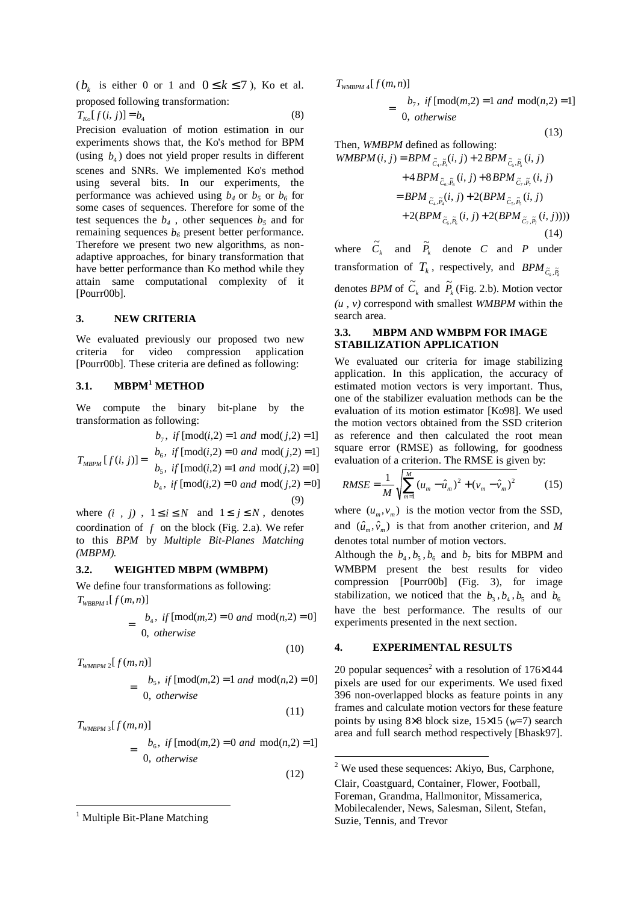( $b_k$  is either 0 or 1 and  $0 \le k \le 7$ ), Ko et al. proposed following transformation:

$$
T_{K_0}[f(i,j)] = b_4 \tag{8}
$$

Precision evaluation of motion estimation in our experiments shows that, the Ko's method for BPM (using  $b_4$ ) does not yield proper results in different scenes and SNRs. We implemented Ko's method using several bits. In our experiments, the performance was achieved using  $b_4$  or  $b_5$  or  $b_6$  for some cases of sequences. Therefore for some of the test sequences the  $b_4$ , other sequences  $b_5$  and for remaining sequences  $b_6$  present better performance. Therefore we present two new algorithms, as nonadaptive approaches, for binary transformation that have better performance than Ko method while they attain same computational complexity of it [Pourr00b].

#### **3. NEW CRITERIA**

We evaluated previously our proposed two new criteria for video compression application [Pourr00b]. These criteria are defined as following:

## **3.1. MBPM<sup>1</sup> METHOD**

We compute the binary bit-plane by the transformation as following:

$$
T_{MBPM}[f(i, j)] = \begin{cases} b_7, & if \text{ [mod}(i, 2) = 1 \text{ and } \text{mod}(j, 2) = 1] \\ b_6, & if \text{ [mod}(i, 2) = 0 \text{ and } \text{mod}(j, 2) = 1] \\ b_5, & if \text{ [mod}(i, 2) = 1 \text{ and } \text{mod}(j, 2) = 0] \\ b_4, & if \text{ [mod}(i, 2) = 0 \text{ and } \text{mod}(j, 2) = 0] \end{cases}
$$
(9)

where  $(i, j)$ ,  $1 \le i \le N$  and  $1 \le j \le N$ , denotes coordination of *f* on the block (Fig. 2.a). We refer to this *BPM* by *Multiple Bit-Planes Matching (MBPM).*

#### **3.2. WEIGHTED MBPM (WMBPM)**

We define four transformations as following:  $T_{WBBPM}$ <sup>1</sup>[ $f(m, n)$ ]

$$
= \begin{cases} b_4, & \text{if } [\text{mod}(m,2) = 0 \text{ and } \text{mod}(n,2) = 0] \\ 0, & \text{otherwise} \end{cases}
$$

 $T_{\text{WMBPM 2}}[f(m,n)]$ 

 $\overline{a}$ 

$$
= \begin{cases} b_5, & \text{if } [\text{mod}(m,2) = 1 \text{ and } \text{mod}(n,2) = 0] \\ 0, & \text{otherwise} \end{cases}
$$
 (11)

(10)

-

$$
T_{\text{WMBPM 3}}[f(m,n)]
$$
\n
$$
= \begin{cases} b_6, & \text{if } [\text{mod}(m,2) = 0 \text{ and } \text{mod}(n,2) = 1] \\ 0, & \text{otherwise} \end{cases}
$$
\n(12)

$$
T_{\text{WMBPM 4}}[f(m,n)]
$$

$$
= \begin{cases} b_7, & \text{if } [\text{mod}(m,2) = 1 \text{ and } \text{mod}(n,2) = 1] \\ 0, & \text{otherwise} \end{cases}
$$

(13)

Then, *WMBPM* defined as following:

$$
WMBPM(i, j) = BPM_{\tilde{C}_4, \tilde{P}_4}(i, j) + 2 BPM_{\tilde{C}_5, \tilde{P}_5}(i, j)
$$
  
+ 
$$
4 BPM_{\tilde{C}_6, \tilde{P}_6}(i, j) + 8 BPM_{\tilde{C}_7, \tilde{P}_7}(i, j)
$$
  
= 
$$
BPM_{\tilde{C}_4, \tilde{P}_4}(i, j) + 2(BPM_{\tilde{C}_5, \tilde{P}_5}(i, j)
$$
  
+ 
$$
2(BPM_{\tilde{C}_6, \tilde{P}_6}(i, j) + 2(BPM_{\tilde{C}_7, \tilde{P}_7}(i, j))))
$$
  
(14)

where  $\tilde{C}_k$  and  $\tilde{P}_k$  denote *C* and *P* under transformation of  $T_k$ , respectively, and  $BPM_{\tilde{C}_k, \tilde{P}_k}$ 

denotes *BPM* of  $\tilde{C}_k$  and  $\tilde{P}_k$  (Fig. 2.b). Motion vector *(u , v)* correspond with smallest *WMBPM* within the search area.

## **3.3. MBPM AND WMBPM FOR IMAGE STABILIZATION APPLICATION**

We evaluated our criteria for image stabilizing application. In this application, the accuracy of estimated motion vectors is very important. Thus, one of the stabilizer evaluation methods can be the evaluation of its motion estimator [Ko98]. We used the motion vectors obtained from the SSD criterion as reference and then calculated the root mean square error (RMSE) as following, for goodness evaluation of a criterion. The RMSE is given by:

$$
RMSE = \frac{1}{M} \sqrt{\sum_{m=1}^{M} (u_m - \hat{u}_m)^2 + (v_m - \hat{v}_m)^2}
$$
 (15)

where  $(u_m, v_m)$  is the motion vector from the SSD, and  $(\hat{u}_m, \hat{v}_m)$  is that from another criterion, and *M* denotes total number of motion vectors.

Although the  $b_4$ ,  $b_5$ ,  $b_6$  and  $b_7$  bits for MBPM and WMBPM present the best results for video compression [Pourr00b] (Fig. 3), for image stabilization, we noticed that the  $b_3$ ,  $b_4$ ,  $b_5$  and  $b_6$ have the best performance. The results of our experiments presented in the next section.

### **4. EXPERIMENTAL RESULTS**

20 popular sequences<sup>2</sup> with a resolution of  $176\times144$ pixels are used for our experiments. We used fixed 396 non-overlapped blocks as feature points in any frames and calculate motion vectors for these feature points by using 8×8 block size, 15×15 (*w*=7) search area and full search method respectively [Bhask97].

<sup>&</sup>lt;sup>1</sup> Multiple Bit-Plane Matching

 $2$  We used these sequences: Akiyo, Bus, Carphone,

Clair, Coastguard, Container, Flower, Football, Foreman, Grandma, Hallmonitor, Missamerica, Mobilecalender, News, Salesman, Silent, Stefan, Suzie, Tennis, and Trevor